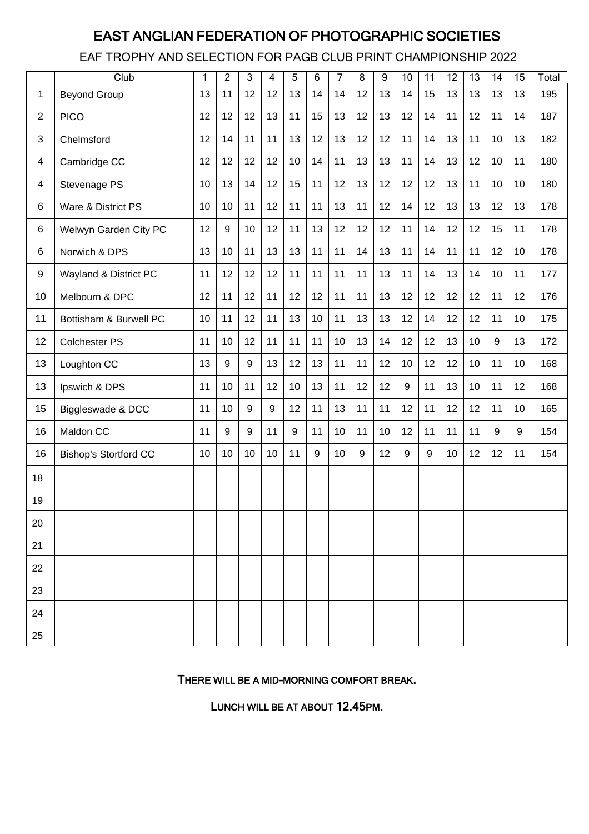## EAST ANGLIAN FEDERATION OF PHOTOGRAPHIC SOCIETIES

EAF TROPHY AND SELECTION FOR PAGB CLUB PRINT CHAMPIONSHIP 2022

|                | Club                         | 1  | $\overline{2}$ | 3  | $\overline{4}$ | 5  | 6  | 7  | 8     | 9  | 10 | 11    | 12 | 13 | 14              | 15 | Total |
|----------------|------------------------------|----|----------------|----|----------------|----|----|----|-------|----|----|-------|----|----|-----------------|----|-------|
| 1              | <b>Beyond Group</b>          | 13 | 11             | 12 | 12             | 13 | 14 | 14 | 12    | 13 | 14 | 15    | 13 | 13 | 13              | 13 | 195   |
| 2              | <b>PICO</b>                  | 12 | 12             | 12 | 13             | 11 | 15 | 13 | 12    | 13 | 12 | 14    | 11 | 12 | 11              | 14 | 187   |
| 3              | Chelmsford                   | 12 | 14             | 11 | 11             | 13 | 12 | 13 | 12    | 12 | 11 | 14    | 13 | 11 | 10              | 13 | 182   |
| $\overline{4}$ | Cambridge CC                 | 12 | 12             | 12 | 12             | 10 | 14 | 11 | 13    | 13 | 11 | 14    | 13 | 12 | 10              | 11 | 180   |
| $\overline{4}$ | Stevenage PS                 | 10 | 13             | 14 | 12             | 15 | 11 | 12 | 13    | 12 | 12 | 12    | 13 | 11 | 10              | 10 | 180   |
| 6              | Ware & District PS           | 10 | 10             | 11 | 12             | 11 | 11 | 13 | 11    | 12 | 14 | 12    | 13 | 13 | 12              | 13 | 178   |
| 6              | Welwyn Garden City PC        | 12 | 9              | 10 | 12             | 11 | 13 | 12 | 12    | 12 | 11 | 14    | 12 | 12 | 15              | 11 | 178   |
| 6              | Norwich & DPS                | 13 | 10             | 11 | 13             | 13 | 11 | 11 | 14    | 13 | 11 | 14    | 11 | 11 | 12              | 10 | 178   |
| 9              | Wayland & District PC        | 11 | 12             | 12 | 12             | 11 | 11 | 11 | 11    | 13 | 11 | 14    | 13 | 14 | 10 <sup>1</sup> | 11 | 177   |
| 10             | Melbourn & DPC               | 12 | 11             | 12 | 11             | 12 | 12 | 11 | 11    | 13 | 12 | 12    | 12 | 12 | 11              | 12 | 176   |
| 11             | Bottisham & Burwell PC       | 10 | 11             | 12 | 11             | 13 | 10 | 11 | 13    | 13 | 12 | 14    | 12 | 12 | 11              | 10 | 175   |
| 12             | <b>Colchester PS</b>         | 11 | 10             | 12 | 11             | 11 | 11 | 10 | 13    | 14 | 12 | 12    | 13 | 10 | 9               | 13 | 172   |
| 13             | Loughton CC                  | 13 | 9              | 9  | 13             | 12 | 13 | 11 | 11    | 12 | 10 | 12    | 12 | 10 | 11              | 10 | 168   |
| 13             | Ipswich & DPS                | 11 | 10             | 11 | 12             | 10 | 13 | 11 | 12    | 12 | 9  | 11    | 13 | 10 | 11              | 12 | 168   |
| 15             | Biggleswade & DCC            | 11 | 10             | 9  | 9              | 12 | 11 | 13 | 11    | 11 | 12 | 11    | 12 | 12 | 11              | 10 | 165   |
| 16             | Maldon CC                    | 11 | 9              | 9  | 11             | 9  | 11 | 10 | 11    | 10 | 12 | 11    | 11 | 11 | 9               | 9  | 154   |
| 16             | <b>Bishop's Stortford CC</b> | 10 | 10             | 10 | 10             | 11 | 9  | 10 | $9\,$ | 12 | 9  | $9\,$ | 10 | 12 | 12              | 11 | 154   |
| 18             |                              |    |                |    |                |    |    |    |       |    |    |       |    |    |                 |    |       |
| 19             |                              |    |                |    |                |    |    |    |       |    |    |       |    |    |                 |    |       |
| 20             |                              |    |                |    |                |    |    |    |       |    |    |       |    |    |                 |    |       |
| 21             |                              |    |                |    |                |    |    |    |       |    |    |       |    |    |                 |    |       |
| 22             |                              |    |                |    |                |    |    |    |       |    |    |       |    |    |                 |    |       |
| 23             |                              |    |                |    |                |    |    |    |       |    |    |       |    |    |                 |    |       |
| 24             |                              |    |                |    |                |    |    |    |       |    |    |       |    |    |                 |    |       |
| 25             |                              |    |                |    |                |    |    |    |       |    |    |       |    |    |                 |    |       |

THERE WILL BE A MID-MORNING COMFORT BREAK.

LUNCH WILL BE AT ABOUT 12.45PM.